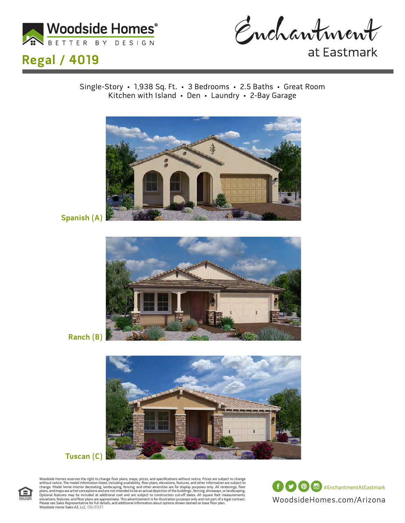



at Eastmark

Single-Story • 1,938 Sq. Ft. • 3 Bedrooms • 2.5 Baths • Great Room Kitchen with Island • Den • Laundry • 2-Bay Garage



**Spanish (A)**



**Ranch (B)**



#### **Tuscan (C)**



Woodside Homes reserves the right to change floor plans, maps, prices, and specifications without notice. Prices are subject to change without notice. The model information listed, including availability, floor plans, elev

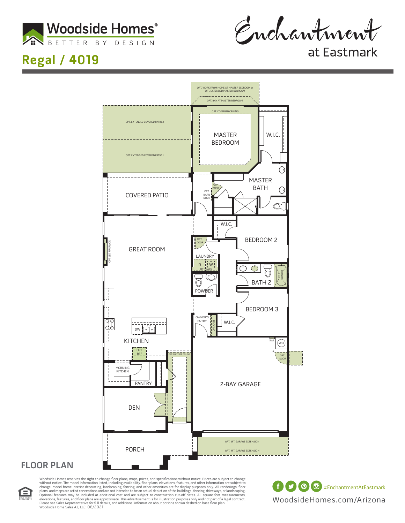

Enchantment

at Eastmark



#### **FLOOR PLAN**



Woodside Homes reserves the right to change floor plans, maps, prices, and specifications without notice. Prices are subject to change without notice. The model information listed, including availability, floor plans, elev Please see Sales Representative for full details, and additional infomration about options shown dashed on base floor plan.<br>Woodside Home Sales AZ, LLC. 06/2021

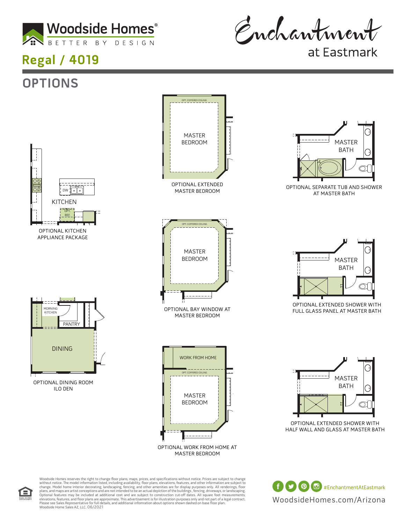

**OPTIONS**

Enchantment

at Eastmark



 $\overline{\phantom{a}}$ 

MASTER



. All renderings, floc<br>ways, or landscaping<br>foot measurement



Ξ